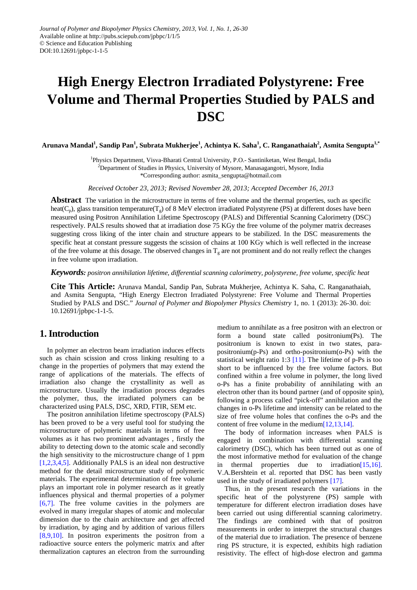# **High Energy Electron Irradiated Polystyrene: Free Volume and Thermal Properties Studied by PALS and DSC**

Arunava Mandal<sup>1</sup>, Sandip Pan<sup>1</sup>, Subrata Mukherjee<sup>1</sup>, Achintya K. Saha<sup>1</sup>, C. Ranganathaiah<sup>2</sup>, Asmita Sengupta<sup>1,\*</sup>

<sup>1</sup>Physics Department, Visva-Bharati Central University, P.O.- Santiniketan, West Bengal, India <sup>2</sup>Department of Studies in Physics, University of Mysore, Manasagangotri, Mysore, India

\*Corresponding author: asmita\_sengupta@hotmail.com

*Received October 23, 2013; Revised November 28, 2013; Accepted December 16, 2013*

**Abstract** The variation in the microstructure in terms of free volume and the thermal properties, such as specific heat( $C_p$ ), glass transition temperature( $T_g$ ) of 8 MeV electron irradiated Polystyrene (PS) at different doses have been measured using Positron Annihilation Lifetime Spectroscopy (PALS) and Differential Scanning Calorimetry (DSC) respectively. PALS results showed that at irradiation dose 75 KGy the free volume of the polymer matrix decreases suggesting cross liking of the inter chain and structure appears to be stabilized. In the DSC measurements the specific heat at constant pressure suggests the scission of chains at 100 KGy which is well reflected in the increase of the free volume at this dosage. The observed changes in  $T<sub>g</sub>$  are not prominent and do not really reflect the changes in free volume upon irradiation.

*Keywords: positron annihilation lifetime, differential scanning calorimetry, polystyrene, free volume, specific heat*

**Cite This Article:** Arunava Mandal, Sandip Pan, Subrata Mukherjee, Achintya K. Saha, C. Ranganathaiah, and Asmita Sengupta, "High Energy Electron Irradiated Polystyrene: Free Volume and Thermal Properties Studied by PALS and DSC." *Journal of Polymer and Biopolymer Physics Chemistry* 1, no. 1 (2013): 26-30. doi: 10.12691/jpbpc-1-1-5.

# **1.Introduction**

In polymer an electron beam irradiation induces effects such as chain scission and cross linking resulting to a change in the properties of polymers that may extend the range of applications of the materials. The effects of irradiation also change the crystallinity as well as microstructure. Usually the irradiation process degrades the polymer, thus, the irradiated polymers can be characterized using PALS, DSC, XRD, FTIR, SEM etc.

The positron annihilation lifetime spectroscopy (PALS) has been proved to be a very useful tool for studying the microstructure of polymeric materials in terms of free volumes as it has two prominent advantages , firstly the ability to detecting down to the atomic scale and secondly the high sensitivity to the microstructure change of 1 ppm [\[1,2,3,4,5\].](#page-3-0) Additionally PALS is an ideal non destructive method for the detail microstructure study of polymeric materials. The experimental determination of free volume plays an important role in polymer research as it greatly influences physical and thermal properties of a polymer [\[6,7\].](#page-3-1) The free volume cavities in the polymers are evolved in many irregular shapes of atomic and molecular dimension due to the chain architecture and get affected by irradiation, by aging and by addition of various fillers [\[8,9,10\].](#page-4-0) In positron experiments the positron from a radioactive source enters the polymeric matrix and after thermalization captures an electron from the surrounding

medium to annihilate as a free positron with an electron or form a bound state called positronium(Ps). The positronium is known to exist in two states, parapositronium(p-Ps) and ortho-positronium(o-Ps) with the statistical weight ratio 1:3 [\[11\].](#page-4-1) The lifetime of p-Ps is too short to be influenced by the free volume factors. But confined within a free volume in polymer, the long lived o-Ps has a finite probability of annihilating with an electron other than its bound partner (and of opposite spin), following a process called "pick-off" annihilation and the changes in o-Ps lifetime and intensity can be related to the size of free volume holes that confines the o-Ps and the content of free volume in the mediu[m\[12,13,14\].](#page-4-2)

The body of information increases when PALS is engaged in combination with differential scanning calorimetry (DSC), which has been turned out as one of the most informative method for evaluation of the change in thermal properties due to irradiatio[n\[15,16\].](#page-4-3) V.A.Bershtein et al. reported that DSC has been vastly used in the study of irradiated polymers [\[17\].](#page-4-4)

Thus, in the present research the variations in the specific heat of the polystyrene (PS) sample with temperature for different electron irradiation doses have been carried out using differential scanning calorimetry. The findings are combined with that of positron measurements in order to interpret the structural changes of the material due to irradiation. The presence of benzene ring PS structure, it is expected, exhibits high radiation resistivity. The effect of high-dose electron and gamma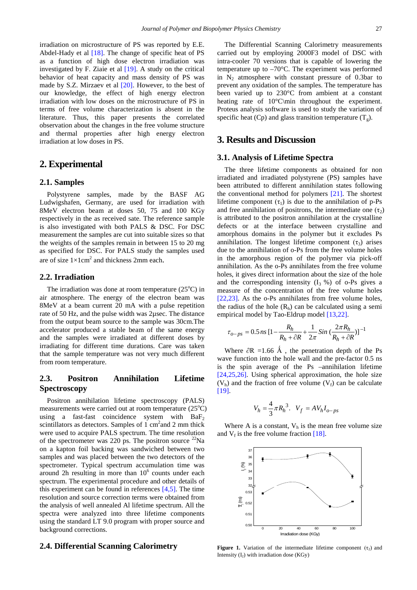irradiation on microstructure of PS was reported by E.E. Abdel-Hady et al [\[18\].](#page-4-5) The change of specific heat of PS as a function of high dose electron irradiation was investigated by F. Ziaie et al [\[19\].](#page-4-6) A study on the critical behavior of heat capacity and mass density of PS was made by S.Z. Mirzaev et al [\[20\].](#page-4-7) However, to the best of our knowledge, the effect of high energy electron irradiation with low doses on the microstructure of PS in terms of free volume characterization is absent in the literature. Thus, this paper presents the correlated observation about the changes in the free volume structure and thermal properties after high energy electron irradiation at low doses in PS.

# **2. Experimental**

### **2.1. Samples**

Polystyrene samples, made by the BASF AG Ludwigshafen, Germany, are used for irradiation with 8MeV electron beam at doses 50, 75 and 100 KGy respectively in the as received sate. The reference sample is also investigated with both PALS & DSC. For DSC measurement the samples are cut into suitable sizes so that the weights of the samples remain in between 15 to 20 mg as specified for DSC. For PALS study the samples used are of size  $1 \times 1$ cm<sup>2</sup> and thickness 2mm each.

#### **2.2. Irradiation**

The irradiation was done at room temperature  $(25^{\circ}C)$  in air atmosphere. The energy of the electron beam was 8MeV at a beam current 20 mA with a pulse repetition rate of 50 Hz, and the pulse width was 2µsec. The distance from the output beam source to the sample was 30cm.The accelerator produced a stable beam of the same energy and the samples were irradiated at different doses by irradiating for different time durations. Care was taken that the sample temperature was not very much different from room temperature.

# **2.3. Positron Annihilation Lifetime Spectroscopy**

Positron annihilation lifetime spectroscopy (PALS) measurements were carried out at room temperature (25°C) using a fast-fast coincidence system with  $BaF<sub>2</sub>$ scintillators as detectors. Samples of  $1 \text{ cm}^2$  and  $2 \text{ mm}$  thick were used to acquire PALS spectrum. The time resolution of the spectrometer was 220 ps. The positron source  $^{22}$ Na on a kapton foil backing was sandwiched between two samples and was placed between the two detectors of the spectrometer. Typical spectrum accumulation time was around 2h resulting in more than  $10<sup>6</sup>$  counts under each spectrum. The experimental procedure and other details of this experiment can be found in references  $[4,5]$ . The time resolution and source correction terms were obtained from the analysis of well annealed Al lifetime spectrum. All the spectra were analyzed into three lifetime components using the standard LT 9.0 program with proper source and background corrections.

#### **2.4. Differential Scanning Calorimetry**

The Differential Scanning Calorimetry measurements carried out by employing 2000F3 model of DSC with intra-cooler 70 versions that is capable of lowering the temperature up to –70°C. The experiment was performed in  $N_2$  atmosphere with constant pressure of 0.3bar to prevent any oxidation of the samples. The temperature has been varied up to 230°C from ambient at a constant heating rate of 10°C\min throughout the experiment. Proteus analysis software is used to study the variation of specific heat (Cp) and glass transition temperature  $(T<sub>g</sub>)$ .

# **3. Results and Discussion**

## **3.1. Analysis of Lifetime Spectra**

The three lifetime components as obtained for non irradiated and irradiated polystyrene (PS) samples have been attributed to different annihilation states following the conventional method for polymers [\[21\].](#page-4-8) The shortest lifetime component  $(\tau_1)$  is due to the annihilation of p-Ps and free annihilation of positrons, the intermediate one  $(\tau_2)$ is attributed to the positron annihilation at the crystalline defects or at the interface between crystalline and amorphous domains in the polymer but it excludes Ps annihilation. The longest lifetime component  $(\tau_3)$  arises due to the annihilation of o-Ps from the free volume holes in the amorphous region of the polymer via pick-off annihilation. As the o-Ps annihilates from the free volume holes, it gives direct information about the size of the hole and the corresponding intensity  $(I_3 \% )$  of o-Ps gives a measure of the concentration of the free volume holes [\[22,23\].](#page-4-9) As the o-Ps annihilates from free volume holes, the radius of the hole  $(R<sub>b</sub>)$  can be calculated using a semi empirical model by Tao-Eldrup model [\[13,22\].](#page-4-10)

$$
\tau_{o-ps} = 0.5 \, ns \left[ 1 - \frac{R_h}{R_h + \partial R} + \frac{1}{2\pi} \, Sin \left( \frac{2\pi R_h}{R_h + \partial R} \right) \right]^{-1}
$$

Where  $\partial R = 1.66$  Å, the penetration depth of the Ps wave function into the hole wall and the pre-factor 0.5 ns is the spin average of the Ps –annihilation lifetime [\[24,25,26\].](#page-4-11) Using spherical approximation, the hole size  $(V<sub>h</sub>)$  and the fraction of free volume  $(V<sub>f</sub>)$  can be calculate [\[19\].](#page-4-6)

$$
V_h = \frac{4}{3}\pi R_h^3.
$$
  $V_f = AV_h I_{o-ps}$ 

<span id="page-1-0"></span>Where A is a constant,  $V<sub>h</sub>$  is the mean free volume size and  $V_f$  is the free volume fraction [\[18\].](#page-4-5)



**Figure 1.** Variation of the intermediate lifetime component  $(\tau_2)$  and Intensity  $(I_2)$  with irradiation dose  $(KGy)$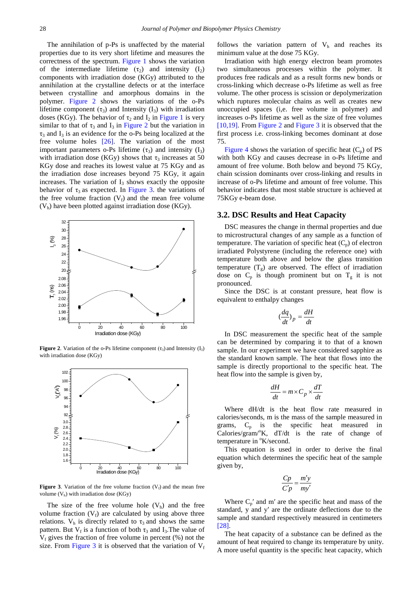The annihilation of p-Ps is unaffected by the material properties due to its very short lifetime and measures the correctness of the spectrum. [Figure 1](#page-1-0) shows the variation of the intermediate lifetime  $(\tau_2)$  and intensity  $(I_2)$ components with irradiation dose (KGy) attributed to the annihilation at the crystalline defects or at the interface between crystalline and amorphous domains in the polymer. [Figure 2](#page-2-0) shows the variations of the o-Ps lifetime component  $(\tau_3)$  and Intensity  $(I_3)$  with irradiation doses (KGy). The behavior of  $\tau_2$  and  $I_2$  in [Figure 1](#page-1-0) is very similar to that of  $\tau_3$  and  $I_3$  in [Figure 2](#page-2-0) but the variation in  $\tau_3$  and  $I_3$  is an evidence for the o-Ps being localized at the free volume holes [\[26\].](#page-4-12) The variation of the most important parameters o-Ps lifetime  $(\tau_3)$  and intensity  $(I_3)$ with irradiation dose (KGy) shows that  $\tau_3$  increases at 50 KGy dose and reaches its lowest value at 75 KGy and as the irradiation dose increases beyond 75 KGy, it again increases. The variation of  $I_3$  shows exactly the opposite behavior of  $\tau_3$  as expected. In [Figure 3.](#page-2-1) the variations of the free volume fraction  $(V_f)$  and the mean free volume  $(V<sub>h</sub>)$  have been plotted against irradiation dose (KGy).

<span id="page-2-0"></span>

**Figure 2.** Variation of the o-Ps lifetime component  $(\tau_3)$  and Intensity  $(I_3)$ with irradiation dose (KGy)

<span id="page-2-1"></span>

**Figure** 3. Variation of the free volume fraction  $(V_f)$  and the mean free volume  $(V<sub>h</sub>)$  with irradiation dose (KGy)

The size of the free volume hole  $(V_h)$  and the free volume fraction  $(V_f)$  are calculated by using above three relations.  $V<sub>h</sub>$  is directly related to  $\tau<sub>3</sub>$  and shows the same pattern. But  $V_f$  is a function of both  $\tau_3$  and I<sub>3</sub>. The value of  $V_f$  gives the fraction of free volume in percent (%) not the size. From [Figure 3](#page-2-1) it is observed that the variation of  $V_f$  follows the variation pattern of  $V<sub>h</sub>$  and reaches its minimum value at the dose 75 KGy.

Irradiation with high energy electron beam promotes two simultaneous processes within the polymer. It produces free radicals and as a result forms new bonds or cross-linking which decrease o-Ps lifetime as well as free volume. The other process is scission or depolymerization which ruptures molecular chains as well as creates new unoccupied spaces (i,e. free volume in polymer) and increases o-Ps lifetime as well as the size of free volumes [\[10,19\].](#page-4-13) From [Figure 2](#page-2-0) and [Figure 3](#page-2-1) it is observed that the first process i.e. cross-linking becomes dominant at dose 75.

[Figure 4](#page-3-3) shows the variation of specific heat  $(C_p)$  of PS with both KGy and causes decrease in o-Ps lifetime and amount of free volume. Both below and beyond 75 KGy, chain scission dominants over cross-linking and results in increase of o-Ps lifetime and amount of free volume. This behavior indicates that most stable structure is achieved at 75KGy e-beam dose.

#### **3.2. DSC Results and Heat Capacity**

DSC measures the change in thermal properties and due to microstructural changes of any sample as a function of temperature. The variation of specific heat  $(C_p)$  of electron irradiated Polystyrene (including the reference one) with temperature both above and below the glass transition temperature  $(T_g)$  are observed. The effect of irradiation dose on  $C_p$  is though prominent but on  $T_g$  it is not pronounced.

Since the DSC is at constant pressure, heat flow is equivalent to enthalpy changes

$$
\big(\frac{dq}{dt}\big)_p = \frac{dH}{dt}
$$

In DSC measurement the specific heat of the sample can be determined by comparing it to that of a known sample. In our experiment we have considered sapphire as the standard known sample. The heat that flows into the sample is directly proportional to the specific heat. The heat flow into the sample is given by,

$$
\frac{dH}{dt} = m \times C_p \times \frac{dT}{dt}
$$

Where dH/dt is the heat flow rate measured in calories/seconds, m is the mass of the sample measured in grams,  $C_p$  is the specific heat measured in Calories/gram/<sup>o</sup>K, dT/dt is the rate of change of temperature in °K/second.

This equation is used in order to derive the final equation which determines the specific heat of the sample given by,

$$
\frac{Cp}{C'p} = \frac{m'y}{my'}
$$

Where  $C_p'$  and m' are the specific heat and mass of the standard, y and y′ are the ordinate deflections due to the sample and standard respectively measured in centimeters [\[28\].](#page-4-14)

The heat capacity of a substance can be defined as the amount of heat required to change its temperature by unity. A more useful quantity is the specific heat capacity, which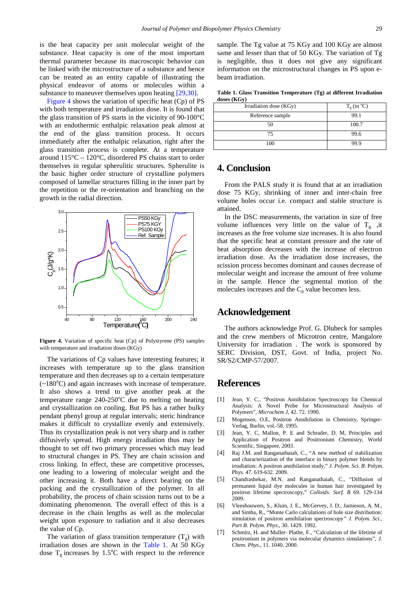is the heat capacity per unit molecular weight of the substance. Heat capacity is one of the most important thermal parameter because its macroscopic behavior can be linked with the microstructure of a substance and hence can be treated as an entity capable of illustrating the physical endeavor of atoms or molecules within a substance to maneuver themselves upon heating [\[29,30\].](#page-4-15)

[Figure 4](#page-3-3) shows the variation of specific heat (Cp) of PS with both temperature and irradiation dose. It is found that the glass transition of PS starts in the vicinity of 90-100°C with an endothermic enthalpic relaxation peak almost at the end of the glass transition process. It occurs immediately after the enthalpic relaxation, right after the glass transition process is complete. At a temperature around 115°C – 120°C, disordered PS chains start to order themselves in regular spherulitic structures. Spherulite is the basic higher order structure of crystalline polymers composed of lamellar structures filling in the inner part by the repetition or the re-orientation and branching on the growth in the radial direction.

<span id="page-3-3"></span>

**Figure 4.** Variation of specific heat (Cp) of Polystyrene (PS) samples with temperature and irradiation doses (KGy)

The variations of Cp values have interesting features; it increases with temperature up to the glass transition temperature and then decreases up to a certain temperature  $(-180^{\circ}$ C) and again increases with increase of temperature. It also shows a trend to give another peak at the temperature range  $240-250^{\circ}\text{C}$  due to melting on heating and crystallization on cooling. But PS has a rather bulky pendant phenyl group at regular intervals; steric hindrance makes it difficult to crystallize evenly and extensively. Thus its crystallization peak is not very sharp and is rather diffusively spread. High energy irradiation thus may be thought to set off two primary processes which may lead to structural changes in PS. They are chain scission and cross linking. In effect, these are competitive processes, one leading to a lowering of molecular weight and the other increasing it. Both have a direct bearing on the packing and the crystallization of the polymer. In all probability, the process of chain scission turns out to be a dominating phenomenon. The overall effect of this is a decrease in the chain lengths as well as the molecular weight upon exposure to radiation and it also decreases the value of Cp.

The variation of glass transition temperature  $(T<sub>g</sub>)$  with irradiation doses are shown in the [Table 1.](#page-3-4) At 50 KGy dose  $T_g$  increases by 1.5°C with respect to the reference

sample. The Tg value at 75 KGy and 100 KGy are almost same and lesser than that of 50 KGy. The variation of Tg is negligible, thus it does not give any significant information on the microstructural changes in PS upon ebeam irradiation.

**Table 1. Glass Transition Temperature (Tg) at different Irradiation doses (KGy)**

<span id="page-3-4"></span>

| Irradiation dose (KGy) | $T_g$ (in $^{\circ}$ C) |
|------------------------|-------------------------|
| Reference sample       | 99.1                    |
| 50                     | 100.7                   |
| 75                     | 99.6                    |
| 100                    |                         |

## **4. Conclusion**

From the PALS study it is found that at an irradiation dose 75 KGy, shrinking of inner and inter-chain free volume holes occur i.e. compact and stable structure is attained.

In the DSC measurements, the variation in size of free volume influences very little on the value of  $T_{g}$ , it increases as the free volume size increases. It is also found that the specific heat at constant pressure and the rate of heat absorption decreases with the increase of electron irradiation dose. As the irradiation dose increases, the scission process becomes dominant and causes decrease of molecular weight and increase the amount of free volume in the sample. Hence the segmental motion of the molecules increases and the  $C_p$  value becomes less.

# **Acknowledgement**

The authors acknowledge Prof. G. Dlubeck for samples and the crew members of Microtron centre, Mangalore University for irradiation . The work is sponsored by SERC Division, DST, Govt. of India, project No. SR/S2/CMP-57/2007.

# **References**

- <span id="page-3-0"></span>[1] Jean, Y. C., "Positron Annihilation Spectroscopy for Chemical Analysis: A Novel Probe for Microstructural Analysis of Polymers", *Microchem J*, 42. 72. 1990.
- [2] Mogensen, O.E, Positron Annihilation in Chemistry, Springer-Verlag, Barlin, vol.-58, 1995.
- [3] Jean, Y. C, Mallon, P. E and Schrader, D. M, Principles and Application of Positron and Positronium Chemistry, World Scientific, Singapore, 2003.
- <span id="page-3-2"></span>[4] Raj J.M. and Ranganathaiah, C., "A new method of stabilization and characterization of the interface in binary polymer blends by irradiation: A positron annihilation study," *J. Polym. Sci. B*: Polym. Phys. 47. 619-632. 2009.
- [5] Chandrashekar, M.N. and Ranganathaiah, C., "Diffusion of permanent liquid dye molecules in human hair investigated by positron lifetime spectroscopy," *Colloids. Surf. B* 69. 129-134 2009.
- <span id="page-3-1"></span>[6] Vleeshouwers, S., Kluin, J. E., McGervey, J. D., Jamieson, A. M., and Simha, R., "Monte Carlo calculations of hole size distribution: simulation of positron annihilation spectroscopy*" J. Polym. Sci., Part B. Polym. Phys*., 30. 1429. 1992.
- [7] Schmitz, H. and Muller- Plathe, F., "Calculation of the lifetime of positronium in polymers via molecular dynamics simulations", *J. Chem. Phys*., 11. 1040. 2000.